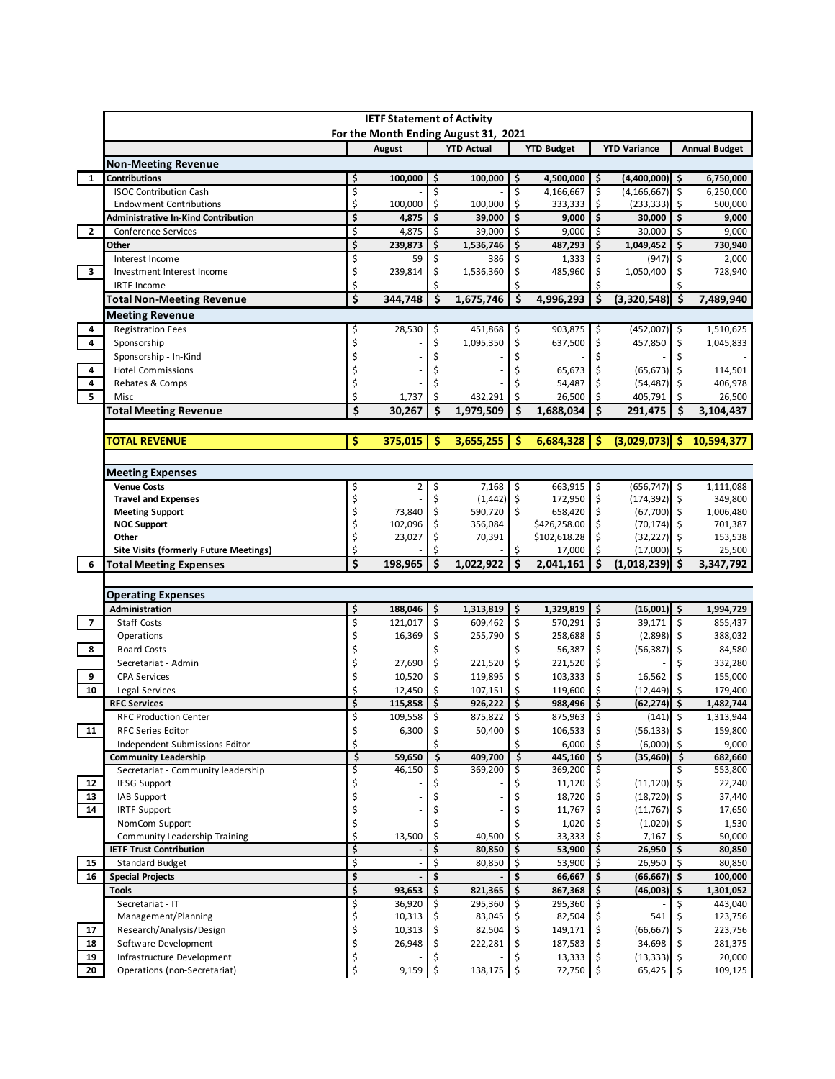|                         | <b>IETF Statement of Activity</b><br>For the Month Ending August 31, 2021 |          |                   |                    |                     |                           |                              |                           |                                  |           |                        |
|-------------------------|---------------------------------------------------------------------------|----------|-------------------|--------------------|---------------------|---------------------------|------------------------------|---------------------------|----------------------------------|-----------|------------------------|
|                         |                                                                           |          | August            |                    | <b>YTD Actual</b>   |                           | <b>YTD Budget</b>            |                           | <b>YTD Variance</b>              |           | <b>Annual Budget</b>   |
|                         | <b>Non-Meeting Revenue</b>                                                |          |                   |                    |                     |                           |                              |                           |                                  |           |                        |
| $\mathbf{1}$            | <b>Contributions</b>                                                      | \$       | 100,000           | \$                 | 100,000             | \$                        | 4,500,000                    | $\overline{\mathbf{5}}$   | $(4,400,000)$ \$                 |           | 6,750,000              |
|                         | <b>ISOC Contribution Cash</b>                                             | \$       |                   | \$                 |                     | \$                        | 4,166,667                    | \$                        | $(4, 166, 667)$ \$               |           | 6,250,000              |
|                         | <b>Endowment Contributions</b>                                            | \$       | 100,000           | \$                 | 100,000             | \$                        | 333,333                      | \$                        | (233, 333)                       |           | 500,000                |
|                         | <b>Administrative In-Kind Contribution</b>                                | \$       | 4,875             | \$                 | 39,000              | \$                        | 9,000                        | \$                        | 30,000                           | l \$      | 9,000                  |
| $\mathbf{2}$            | <b>Conference Services</b><br>Other                                       | \$<br>\$ | 4,875<br>239,873  | \$<br>\$           | 39,000<br>1,536,746 | \$ ا<br>\$                | 9,000<br>487,293             | -\$<br>\$                 | 30,000<br>1,049,452              | \$<br>\$  | 9,000<br>730,940       |
|                         | Interest Income                                                           | \$       | 59                | \$                 | 386                 | \$                        | 1,333                        | \$                        | $(947)$ \$                       |           | 2,000                  |
| $\overline{\mathbf{3}}$ | Investment Interest Income                                                | \$       | 239,814           | \$                 | 1,536,360           | \$                        | 485,960                      | \$                        | 1,050,400                        | \$        | 728,940                |
|                         | <b>IRTF Income</b>                                                        | \$       |                   | \$                 |                     |                           |                              | \$                        |                                  |           |                        |
|                         | <b>Total Non-Meeting Revenue</b>                                          | \$       | 344,748           | \$                 | 1,675,746           | \$                        | 4,996,293                    | \$                        | (3,320,548)                      | l \$      | 7,489,940              |
|                         | <b>Meeting Revenue</b>                                                    |          |                   |                    |                     |                           |                              |                           |                                  |           |                        |
| 4                       | <b>Registration Fees</b>                                                  | \$       | 28,530            | \$                 | 451,868             | \$                        | 903,875 \$                   |                           | $(452,007)$ \$                   |           | 1,510,625              |
| 4                       | Sponsorship                                                               | \$       |                   | \$                 | 1,095,350           | \$                        | 637,500                      | \$                        | 457,850                          | -\$       | 1,045,833              |
|                         | Sponsorship - In-Kind                                                     | Ś        |                   |                    |                     |                           |                              | \$                        |                                  | \$        |                        |
| 4<br>4                  | <b>Hotel Commissions</b><br>Rebates & Comps                               | Ś<br>\$  |                   |                    |                     |                           | 65,673<br>54,487             | \$<br>\$                  | $(65, 673)$ \$<br>$(54, 487)$ \$ |           | 114,501<br>406,978     |
| 5                       | Misc                                                                      | Ś        | 1,737             | \$                 | 432,291             | \$                        | 26,500                       | \$                        | 405,791                          | \$        | 26,500                 |
|                         | <b>Total Meeting Revenue</b>                                              | \$       | 30,267            | \$                 | 1,979,509           | \$                        | 1,688,034                    | \$                        | 291,475                          | \$.       | 3,104,437              |
|                         |                                                                           |          |                   |                    |                     |                           |                              |                           |                                  |           |                        |
|                         | TOTAL REVENUE                                                             | \$       | 375,015           | \$                 | 3,655,255           | -\$                       | 6,684,328                    | \$                        | (3,029,073)                      | -S        | 10,594,377             |
|                         |                                                                           |          |                   |                    |                     |                           |                              |                           |                                  |           |                        |
|                         | <b>Meeting Expenses</b>                                                   |          |                   |                    |                     |                           |                              |                           |                                  |           |                        |
|                         | <b>Venue Costs</b>                                                        | \$       | 2                 | \$                 | 7,168               | \$                        | 663,915                      | \$                        | $(656, 747)$ \$                  |           | 1,111,088              |
|                         | <b>Travel and Expenses</b>                                                | \$       |                   | Ś                  | $(1,442)$ \$        |                           | 172,950                      | \$                        | $(174, 392)$ \$                  |           | 349,800                |
|                         | <b>Meeting Support</b>                                                    | \$       | 73,840            | \$                 | 590,720             | \$                        | 658,420                      | \$                        | $(67,700)$ \$                    |           | 1,006,480              |
|                         | <b>NOC Support</b><br>Other                                               | \$<br>\$ | 102,096<br>23,027 | \$<br>\$           | 356,084<br>70,391   |                           | \$426,258.00<br>\$102,618.28 | \$<br>\$                  | $(70, 174)$ \$<br>$(32, 227)$ \$ |           | 701,387<br>153,538     |
|                         | <b>Site Visits (formerly Future Meetings)</b>                             | \$       |                   | \$                 |                     | \$                        | 17,000                       | \$                        | $(17,000)$ \$                    |           | 25,500                 |
| 6                       | <b>Total Meeting Expenses</b>                                             | \$       | 198,965           | \$                 | 1,022,922           | \$                        | 2,041,161                    | \$                        | (1,018,239)                      | Ŝ.        | 3,347,792              |
|                         |                                                                           |          |                   |                    |                     |                           |                              |                           |                                  |           |                        |
|                         |                                                                           |          |                   |                    |                     |                           |                              |                           |                                  |           |                        |
|                         | <b>Operating Expenses</b>                                                 |          |                   |                    |                     |                           |                              |                           |                                  |           |                        |
|                         | Administration                                                            | \$       | 188,046           | \$                 | 1,313,819           | \$                        | 1,329,819                    | \$                        | $(16,001)$ \$                    |           | 1,994,729              |
| $\overline{7}$          | <b>Staff Costs</b>                                                        | \$       | 121,017           | \$                 | 609,462             | \$                        | 570,291 \$                   |                           | 39,171                           | ∣\$       | 855,437                |
|                         | Operations                                                                | \$       | 16,369            | \$                 | 255,790             | \$                        | 258,688                      | \$                        | $(2,898)$ \$                     |           | 388,032                |
| 8                       | <b>Board Costs</b>                                                        | Ś        |                   | \$                 |                     |                           | 56,387                       | \$                        | $(56,387)$ \$                    |           | 84,580                 |
|                         | Secretariat - Admin                                                       | \$       | 27,690            | \$                 | 221,520             | \$                        | 221,520                      | \$                        |                                  |           | 332,280                |
| 9                       | <b>CPA Services</b>                                                       | \$       | 10,520            | \$                 | 119,895             | \$                        | 103,333                      | \$                        | 16,562                           | \$<br>Ŝ.  | 155,000                |
| 10                      | Legal Services<br><b>RFC Services</b>                                     | Ś<br>\$  | 12,450<br>115,858 | \$<br>\$           | 107,151<br>926,222  | Ś.<br>$\ddot{\bm{\zeta}}$ | 119,600<br>988,496           | Ś.<br>$\ddot{\bm{\zeta}}$ | (12, 449)<br>(62,274) \$         |           | 179,400                |
|                         | <b>RFC Production Center</b>                                              | Ś        | 109,558           | $\mathsf{\hat{S}}$ | 875.822 \$          |                           | $875,963$ \$                 |                           | $(141)$ \$                       |           | 1,482,744<br>1,313,944 |
| 11                      | <b>RFC Series Editor</b>                                                  | \$       | 6,300             | \$                 | 50,400              | \$                        | 106,533                      | \$                        | $(56, 133)$ \$                   |           | 159,800                |
|                         | Independent Submissions Editor                                            | \$       |                   |                    |                     |                           | 6,000                        |                           | (6,000)                          |           | 9,000                  |
|                         | <b>Community Leadership</b>                                               | \$       | 59,650            | \$                 | 409,700             | \$                        | 445.160                      | \$                        | $(35, 460)$ \$                   |           | 682,660                |
|                         | Secretariat - Community leadership                                        | \$       | 46,150            | \$                 | 369,200             | \$                        | 369,200                      | Ş                         |                                  | Ş.        | 553,800                |
| 12                      | <b>IESG Support</b>                                                       | \$       |                   |                    |                     |                           | 11,120                       |                           | $(11, 120)$ \$                   |           | 22,240                 |
| 13                      | IAB Support                                                               | \$       |                   |                    |                     |                           | 18,720                       | \$                        | (18, 720)                        | I\$       | 37,440                 |
| 14                      | <b>IRTF Support</b><br>NomCom Support                                     | \$       |                   |                    |                     |                           | 11,767<br>1,020              | \$                        | $(11,767)$ \$                    |           | 17,650                 |
|                         | Community Leadership Training                                             | \$<br>\$ | 13,500            | \$                 | 40,500              | \$                        | 33,333                       |                           | $(1,020)$ \$<br>7,167            | S.        | 1,530<br>50,000        |
|                         | <b>IETF Trust Contribution</b>                                            | \$       |                   | \$                 | 80,850              | \$                        | 53,900                       | \$                        | 26,950                           | \$        | 80,850                 |
| 15                      | <b>Standard Budget</b>                                                    | \$       |                   | \$                 | 80,850              | \$                        | 53,900                       | \$                        | 26,950                           | \$        | 80,850                 |
| 16                      | <b>Special Projects</b>                                                   | \$       |                   | \$                 |                     | \$                        | 66,667                       | \$                        | (66, 667)                        | \$        | 100,000                |
|                         | <b>Tools</b>                                                              | \$       | 93,653            | \$                 | 821,365             | \$                        | 867,368                      | \$                        | (46,003)                         | \$        | 1,301,052              |
|                         | Secretariat - IT                                                          | \$       | 36,920            | \$                 | 295,360             |                           | 295,360                      |                           | 541                              | \$<br>-\$ | 443,040                |
| 17                      | Management/Planning<br>Research/Analysis/Design                           | \$<br>\$ | 10,313<br>10,313  |                    | 83,045<br>82,504    |                           | 82,504<br>149,171            |                           | $(66, 667)$ \$                   |           | 123,756<br>223,756     |
| 18                      | Software Development                                                      | \$       | 26,948            | \$                 | 222,281             | \$                        | 187,583                      | \$                        | 34,698                           |           | 281,375                |
| 19                      | Infrastructure Development                                                | \$       |                   |                    |                     |                           | 13,333                       |                           | $(13, 333)$ \$                   |           | 20,000                 |